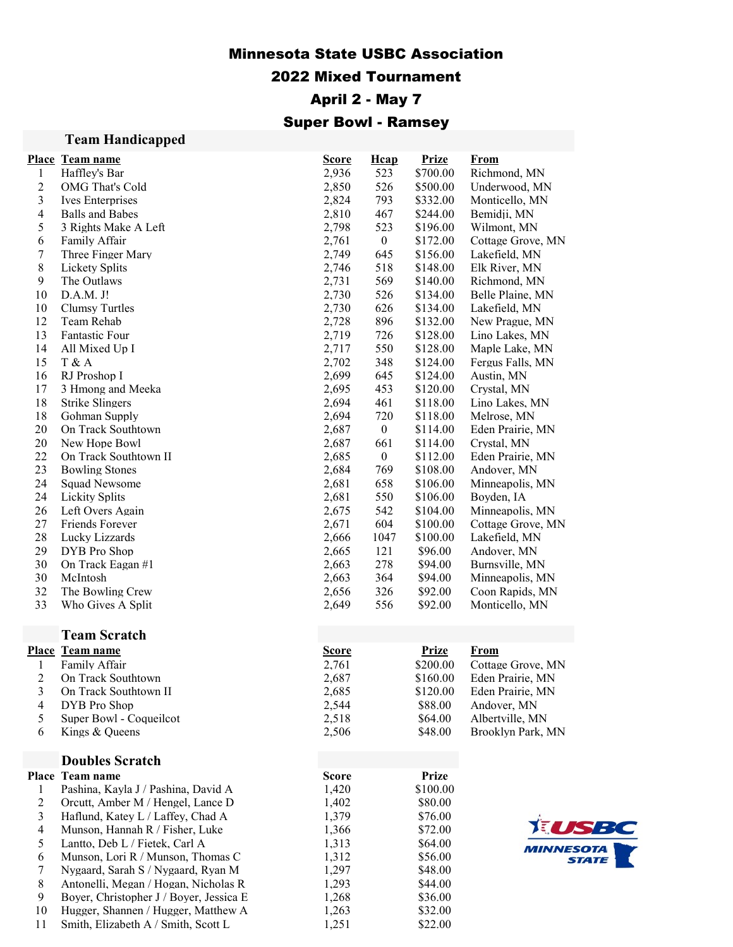## Minnesota State USBC Association

## 2022 Mixed Tournament

# April 2 - May 7

# Super Bowl - Ramsey

| <b>Team Handicapped</b> |  |
|-------------------------|--|
|-------------------------|--|

11 Smith, Elizabeth A / Smith, Scott L

|                         | Place Team name                         | <b>Score</b>   | <b>H</b> cap     | <b>Prize</b> | <u>From</u>       |
|-------------------------|-----------------------------------------|----------------|------------------|--------------|-------------------|
| 1                       | Haffley's Bar                           | 2,936          | 523              | \$700.00     | Richmond, MN      |
| $\overline{c}$          | OMG That's Cold                         | 2,850          | 526              | \$500.00     | Underwood, MN     |
| 3                       | Ives Enterprises                        | 2,824          | 793              | \$332.00     | Monticello, MN    |
| $\overline{\mathbf{4}}$ | <b>Balls and Babes</b>                  |                | 467              | \$244.00     | Bemidji, MN       |
| 5                       |                                         | 2,810          | 523              |              |                   |
|                         | 3 Rights Make A Left                    | 2,798          |                  | \$196.00     | Wilmont, MN       |
| 6                       | Family Affair                           | 2,761          | $\boldsymbol{0}$ | \$172.00     | Cottage Grove, MN |
| 7                       | Three Finger Mary                       | 2,749<br>2,746 | 645              | \$156.00     | Lakefield, MN     |
| $8\,$                   | Lickety Splits                          |                | 518              | \$148.00     | Elk River, MN     |
| 9                       | The Outlaws                             | 2,731          | 569              | \$140.00     | Richmond, MN      |
| 10                      | D.A.M. J!                               | 2,730          | 526              | \$134.00     | Belle Plaine, MN  |
| 10<br>12                | <b>Clumsy Turtles</b>                   | 2,730          | 626              | \$134.00     | Lakefield, MN     |
|                         | Team Rehab                              | 2,728          | 896              | \$132.00     | New Prague, MN    |
| 13                      | Fantastic Four                          | 2,719          | 726              | \$128.00     | Lino Lakes, MN    |
| 14                      | All Mixed Up I                          | 2,717          | 550              | \$128.00     | Maple Lake, MN    |
| 15                      | T & A                                   | 2,702          | 348              | \$124.00     | Fergus Falls, MN  |
| 16                      | RJ Proshop I                            | 2,699          | 645              | \$124.00     | Austin, MN        |
| 17                      | 3 Hmong and Meeka                       | 2,695          | 453              | \$120.00     | Crystal, MN       |
| 18                      | <b>Strike Slingers</b>                  | 2,694          | 461              | \$118.00     | Lino Lakes, MN    |
| 18                      | Gohman Supply                           | 2,694          | 720              | \$118.00     | Melrose, MN       |
| 20                      | On Track Southtown                      | 2,687          | $\boldsymbol{0}$ | \$114.00     | Eden Prairie, MN  |
| 20                      | New Hope Bowl                           | 2,687          | 661              | \$114.00     | Crystal, MN       |
| 22                      | On Track Southtown II                   | 2,685          | $\boldsymbol{0}$ | \$112.00     | Eden Prairie, MN  |
| 23                      | <b>Bowling Stones</b>                   | 2,684          | 769              | \$108.00     | Andover, MN       |
| 24                      | Squad Newsome                           | 2,681          | 658              | \$106.00     | Minneapolis, MN   |
| 24                      | <b>Lickity Splits</b>                   | 2,681          | 550              | \$106.00     | Boyden, IA        |
| 26                      | Left Overs Again                        | 2,675          | 542              | \$104.00     | Minneapolis, MN   |
| 27                      | Friends Forever                         | 2,671          | 604              | \$100.00     | Cottage Grove, MN |
| 28                      | Lucky Lizzards                          | 2,666          | 1047             | \$100.00     | Lakefield, MN     |
| 29                      | DYB Pro Shop                            | 2,665          | 121              | \$96.00      | Andover, MN       |
| 30                      | On Track Eagan #1                       | 2,663          | 278              | \$94.00      | Burnsville, MN    |
| 30                      | McIntosh                                | 2,663          | 364              | \$94.00      | Minneapolis, MN   |
| 32                      | The Bowling Crew                        | 2,656          | 326              | \$92.00      | Coon Rapids, MN   |
| 33                      | Who Gives A Split                       | 2,649          | 556              | \$92.00      | Monticello, MN    |
|                         | <b>Team Scratch</b>                     |                |                  |              |                   |
|                         | Place Team name                         | <b>Score</b>   |                  | <b>Prize</b> | <b>From</b>       |
| 1                       | Family Affair                           | 2,761          |                  | \$200.00     | Cottage Grove, MN |
| $\overline{c}$          | On Track Southtown                      | 2,687          |                  | \$160.00     | Eden Prairie, MN  |
| 3                       | On Track Southtown II                   | 2,685          |                  | \$120.00     | Eden Prairie, MN  |
| $\overline{\mathbf{4}}$ | DYB Pro Shop                            | 2,544          |                  | \$88.00      | Andover, MN       |
| 5                       | Super Bowl - Coqueilcot                 | 2,518          |                  | \$64.00      | Albertville, MN   |
| 6                       | Kings & Queens                          | 2,506          |                  | \$48.00      | Brooklyn Park, MN |
|                         |                                         |                |                  |              |                   |
|                         | <b>Doubles Scratch</b>                  |                |                  |              |                   |
|                         | Place Team name                         | <b>Score</b>   |                  | Prize        |                   |
| $\mathbf{1}$            | Pashina, Kayla J / Pashina, David A     | 1,420          |                  | \$100.00     |                   |
| $\overline{c}$          | Orcutt, Amber M / Hengel, Lance D       | 1,402          |                  | \$80.00      |                   |
| 3                       | Haflund, Katey L / Laffey, Chad A       | 1,379          |                  | \$76.00      |                   |
| $\overline{4}$          | Munson, Hannah R / Fisher, Luke         | 1,366          |                  | \$72.00      |                   |
| 5                       | Lantto, Deb L / Fietek, Carl A          | 1,313          |                  | \$64.00      | MINNE             |
| 6                       | Munson, Lori R / Munson, Thomas C       | 1,312          |                  | \$56.00      |                   |
| 7                       | Nygaard, Sarah S / Nygaard, Ryan M      | 1,297          |                  | \$48.00      |                   |
| $8\,$                   | Antonelli, Megan / Hogan, Nicholas R    | 1,293          |                  | \$44.00      |                   |
| 9                       | Boyer, Christopher J / Boyer, Jessica E | 1,268          |                  | \$36.00      |                   |
| 10                      | Hugger, Shannen / Hugger, Matthew A     | 1,263          |                  | \$32.00      |                   |
| 11                      | Smith, Elizabeth A / Smith, Scott L     | 1,251          |                  | \$22.00      |                   |

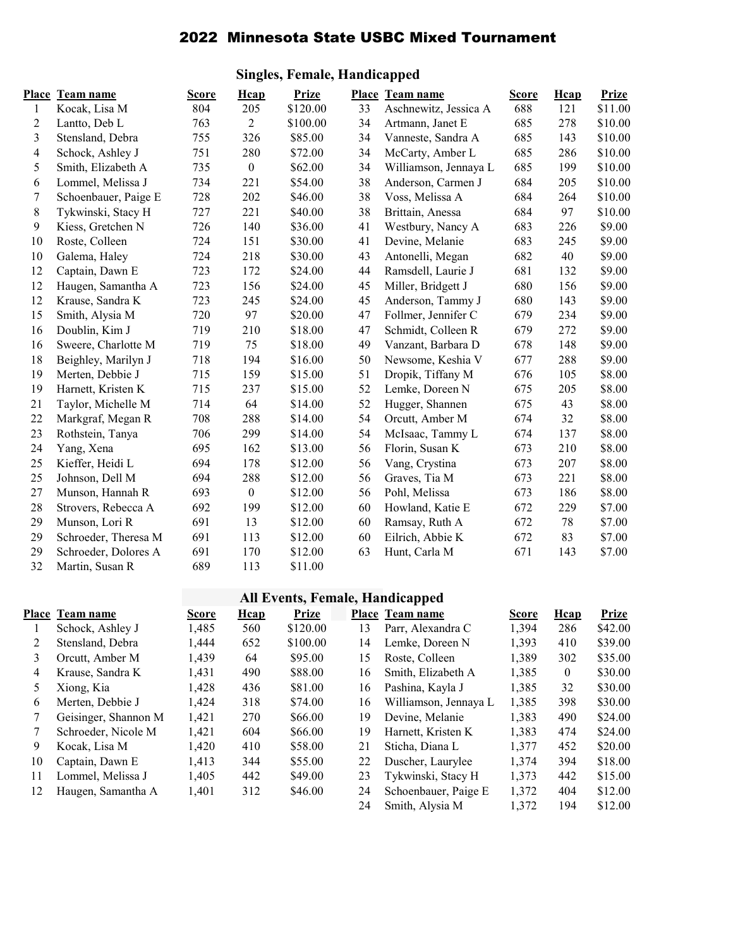## 2022 Minnesota State USBC Mixed Tournament

### Place Team name Score Hcap Prize Place Team name Score Hcap Prize 1 Kocak, Lisa M 804 205 \$120.00 33 Aschnewitz, Jessica A 688 121 \$11.00 2 Lantto, Deb L 763 2 \$100.00 34 Artmann, Janet E 685 278 \$10.00 3 Stensland, Debra 755 326 \$85.00 34 Vanneste, Sandra A 685 143 \$10.00 4 Schock, Ashley J 751 280 \$72.00 34 McCarty, Amber L 685 286 \$10.00 5 Smith, Elizabeth A 735 0 \$62.00 34 Williamson, Jennaya L 685 199 \$10.00 6 Lommel, Melissa J 734 221 \$54.00 38 Anderson, Carmen J 684 205 \$10.00 7 Schoenbauer, Paige E 728 202 \$46.00 38 Voss, Melissa A 684 264 \$10.00 8 Tykwinski, Stacy H 727 221 \$40.00 38 Brittain, Anessa 684 97 \$10.00 9 Kiess, Gretchen N 726 140 \$36.00 41 Westbury, Nancy A 683 226 \$9.00 10 Roste, Colleen 724 151 \$30.00 41 Devine, Melanie 683 245 \$9.00 10 Galema, Haley 724 218 \$30.00 43 Antonelli, Megan 682 40 \$9.00 12 Captain, Dawn E 723 172 \$24.00 44 Ramsdell, Laurie J 681 132 \$9.00 12 Haugen, Samantha A 723 156 \$24.00 45 Miller, Bridgett J 680 156 \$9.00 12 Krause, Sandra K 723 245 \$24.00 45 Anderson, Tammy J 680 143 \$9.00 15 Smith, Alysia M 720 97 \$20.00 47 Follmer, Jennifer C 679 234 \$9.00 16 Doublin, Kim J 719 210 \$18.00 47 Schmidt, Colleen R 679 272 \$9.00 16 Sweere, Charlotte M 719 75 \$18.00 49 Vanzant, Barbara D 678 148 \$9.00 18 Beighley, Marilyn J 718 194 \$16.00 50 Newsome, Keshia V 677 288 \$9.00 19 Merten, Debbie J 715 159 \$15.00 51 Dropik, Tiffany M 676 105 \$8.00 19 Harnett, Kristen K 715 237 \$15.00 52 Lemke, Doreen N 675 205 \$8.00 21 Taylor, Michelle M 714 64 \$14.00 52 Hugger, Shannen 675 43 \$8.00 22 Markgraf, Megan R 708 288 \$14.00 54 Orcutt, Amber M 674 32 \$8.00 23 Rothstein, Tanya 706 299 \$14.00 54 McIsaac, Tammy L 674 137 \$8.00 24 Yang, Xena 695 162 \$13.00 56 Florin, Susan K 673 210 \$8.00 25 Kieffer, Heidi L 694 178 \$12.00 56 Vang, Crystina 673 207 \$8.00 25 Johnson, Dell M 694 288 \$12.00 56 Graves, Tia M 673 221 \$8.00 27 Munson, Hannah R 693 0 \$12.00 56 Pohl, Melissa 673 186 \$8.00 28 Strovers, Rebecca A 692 199 \$12.00 60 Howland, Katie E 672 229 \$7.00 29 Munson, Lori R 691 13 \$12.00 60 Ramsay, Ruth A 672 78 \$7.00 29 Schroeder, Theresa M 691 113 \$12.00 60 Eilrich, Abbie K 672 83 \$7.00 29 Schroeder, Dolores A 691 170 \$12.00 63 Hunt, Carla M 671 143 \$7.00 32 Martin, Susan R 689 113 \$11.00

#### Singles, Female, Handicapped

### All Events, Female, Handicapped

|    | Place Team name      | <b>Score</b> | Hcap | <b>Prize</b> |    | Place Team name       | <b>Score</b> | Hcap     | Prize   |
|----|----------------------|--------------|------|--------------|----|-----------------------|--------------|----------|---------|
|    | Schock, Ashley J     | 1,485        | 560  | \$120.00     | 13 | Parr, Alexandra C     | 1,394        | 286      | \$42.00 |
| 2  | Stensland, Debra     | 1.444        | 652  | \$100.00     | 14 | Lemke, Doreen N       | 1,393        | 410      | \$39.00 |
| 3  | Orcutt, Amber M      | 1,439        | 64   | \$95.00      | 15 | Roste, Colleen        | 1.389        | 302      | \$35.00 |
| 4  | Krause, Sandra K     | 1,431        | 490  | \$88.00      | 16 | Smith, Elizabeth A    | 1,385        | $\theta$ | \$30.00 |
| 5  | Xiong, Kia           | 1,428        | 436  | \$81.00      | 16 | Pashina, Kayla J      | 1.385        | 32       | \$30.00 |
| 6  | Merten. Debbie J     | 1.424        | 318  | \$74.00      | 16 | Williamson, Jennaya L | 1,385        | 398      | \$30.00 |
|    | Geisinger, Shannon M | 1.421        | 270  | \$66.00      | 19 | Devine, Melanie       | 1.383        | 490      | \$24.00 |
|    | Schroeder, Nicole M  | 1,421        | 604  | \$66.00      | 19 | Harnett, Kristen K    | 1,383        | 474      | \$24.00 |
| 9  | Kocak. Lisa M        | 1.420        | 410  | \$58.00      | 21 | Sticha, Diana L       | 1,377        | 452      | \$20.00 |
| 10 | Captain, Dawn E      | 1.413        | 344  | \$55.00      | 22 | Duscher, Laurylee     | 1.374        | 394      | \$18.00 |
| 11 | Lommel, Melissa J    | 1,405        | 442  | \$49.00      | 23 | Tykwinski, Stacy H    | 1,373        | 442      | \$15.00 |
| 12 | Haugen, Samantha A   | 1,401        | 312  | \$46.00      | 24 | Schoenbauer, Paige E  | 1,372        | 404      | \$12.00 |
|    |                      |              |      |              | 24 | Smith, Alysia M       | 1.372        | 194      | \$12.00 |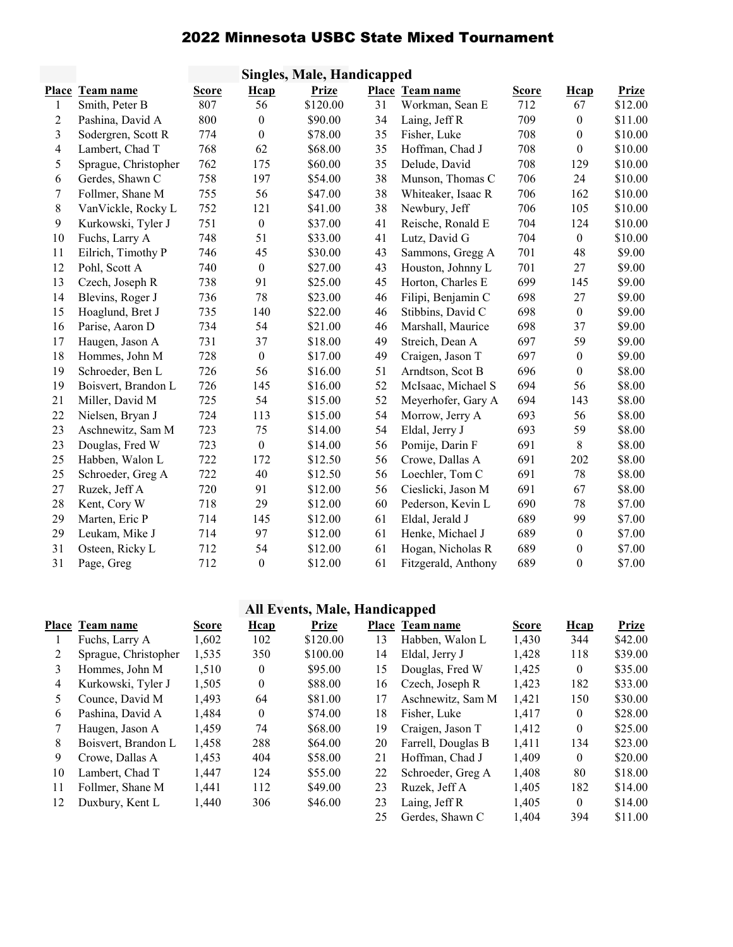# 2022 Minnesota USBC State Mixed Tournament

|       | Singles, Male, Handicapped |       |                  |              |    |                     |       |                  |              |  |
|-------|----------------------------|-------|------------------|--------------|----|---------------------|-------|------------------|--------------|--|
| Place | Team name                  | Score | <b>H</b> cap     | <b>Prize</b> |    | Place Team name     | Score | <b>H</b> cap     | <b>Prize</b> |  |
| 1     | Smith, Peter B             | 807   | 56               | \$120.00     | 31 | Workman, Sean E     | 712   | 67               | \$12.00      |  |
| 2     | Pashina, David A           | 800   | $\mathbf{0}$     | \$90.00      | 34 | Laing, Jeff R       | 709   | $\boldsymbol{0}$ | \$11.00      |  |
| 3     | Sodergren, Scott R         | 774   | $\boldsymbol{0}$ | \$78.00      | 35 | Fisher, Luke        | 708   | $\boldsymbol{0}$ | \$10.00      |  |
| 4     | Lambert, Chad T            | 768   | 62               | \$68.00      | 35 | Hoffman, Chad J     | 708   | $\boldsymbol{0}$ | \$10.00      |  |
| 5     | Sprague, Christopher       | 762   | 175              | \$60.00      | 35 | Delude, David       | 708   | 129              | \$10.00      |  |
| 6     | Gerdes, Shawn C            | 758   | 197              | \$54.00      | 38 | Munson, Thomas C    | 706   | 24               | \$10.00      |  |
| 7     | Follmer, Shane M           | 755   | 56               | \$47.00      | 38 | Whiteaker, Isaac R  | 706   | 162              | \$10.00      |  |
| $8\,$ | VanVickle, Rocky L         | 752   | 121              | \$41.00      | 38 | Newbury, Jeff       | 706   | 105              | \$10.00      |  |
| 9     | Kurkowski, Tyler J         | 751   | $\boldsymbol{0}$ | \$37.00      | 41 | Reische, Ronald E   | 704   | 124              | \$10.00      |  |
| 10    | Fuchs, Larry A             | 748   | 51               | \$33.00      | 41 | Lutz, David G       | 704   | $\boldsymbol{0}$ | \$10.00      |  |
| 11    | Eilrich, Timothy P         | 746   | 45               | \$30.00      | 43 | Sammons, Gregg A    | 701   | 48               | \$9.00       |  |
| 12    | Pohl, Scott A              | 740   | $\boldsymbol{0}$ | \$27.00      | 43 | Houston, Johnny L   | 701   | 27               | \$9.00       |  |
| 13    | Czech, Joseph R            | 738   | 91               | \$25.00      | 45 | Horton, Charles E   | 699   | 145              | \$9.00       |  |
| 14    | Blevins, Roger J           | 736   | $78\,$           | \$23.00      | 46 | Filipi, Benjamin C  | 698   | 27               | \$9.00       |  |
| 15    | Hoaglund, Bret J           | 735   | 140              | \$22.00      | 46 | Stibbins, David C   | 698   | $\boldsymbol{0}$ | \$9.00       |  |
| 16    | Parise, Aaron D            | 734   | 54               | \$21.00      | 46 | Marshall, Maurice   | 698   | 37               | \$9.00       |  |
| 17    | Haugen, Jason A            | 731   | 37               | \$18.00      | 49 | Streich, Dean A     | 697   | 59               | \$9.00       |  |
| 18    | Hommes, John M             | 728   | $\boldsymbol{0}$ | \$17.00      | 49 | Craigen, Jason T    | 697   | $\boldsymbol{0}$ | \$9.00       |  |
| 19    | Schroeder, Ben L           | 726   | 56               | \$16.00      | 51 | Arndtson, Scot B    | 696   | $\boldsymbol{0}$ | \$8.00       |  |
| 19    | Boisvert, Brandon L        | 726   | 145              | \$16.00      | 52 | McIsaac, Michael S  | 694   | 56               | \$8.00       |  |
| 21    | Miller, David M            | 725   | 54               | \$15.00      | 52 | Meyerhofer, Gary A  | 694   | 143              | \$8.00       |  |
| 22    | Nielsen, Bryan J           | 724   | 113              | \$15.00      | 54 | Morrow, Jerry A     | 693   | 56               | \$8.00       |  |
| 23    | Aschnewitz, Sam M          | 723   | 75               | \$14.00      | 54 | Eldal, Jerry J      | 693   | 59               | \$8.00       |  |
| 23    | Douglas, Fred W            | 723   | $\boldsymbol{0}$ | \$14.00      | 56 | Pomije, Darin F     | 691   | 8                | \$8.00       |  |
| 25    | Habben, Walon L            | 722   | 172              | \$12.50      | 56 | Crowe, Dallas A     | 691   | 202              | \$8.00       |  |
| 25    | Schroeder, Greg A          | 722   | 40               | \$12.50      | 56 | Loechler, Tom C     | 691   | 78               | \$8.00       |  |
| 27    | Ruzek, Jeff A              | 720   | 91               | \$12.00      | 56 | Cieslicki, Jason M  | 691   | 67               | \$8.00       |  |
| 28    | Kent, Cory W               | 718   | 29               | \$12.00      | 60 | Pederson, Kevin L   | 690   | 78               | \$7.00       |  |
| 29    | Marten, Eric P             | 714   | 145              | \$12.00      | 61 | Eldal, Jerald J     | 689   | 99               | \$7.00       |  |
| 29    | Leukam, Mike J             | 714   | 97               | \$12.00      | 61 | Henke, Michael J    | 689   | $\boldsymbol{0}$ | \$7.00       |  |
| 31    | Osteen, Ricky L            | 712   | 54               | \$12.00      | 61 | Hogan, Nicholas R   | 689   | $\boldsymbol{0}$ | \$7.00       |  |
| 31    | Page, Greg                 | 712   | $\boldsymbol{0}$ | \$12.00      | 61 | Fitzgerald, Anthony | 689   | $\boldsymbol{0}$ | \$7.00       |  |

# All Events, Male, Handicapped

|    | Place Team name      | <b>Score</b> | <b>H</b> cap   | <b>Prize</b> |    | Place Team name    | <b>Score</b> | <b>H</b> cap | <b>Prize</b> |
|----|----------------------|--------------|----------------|--------------|----|--------------------|--------------|--------------|--------------|
|    | Fuchs, Larry A       | 1,602        | 102            | \$120.00     | 13 | Habben, Walon L    | 1,430        | 344          | \$42.00      |
| 2  | Sprague, Christopher | 1,535        | 350            | \$100.00     | 14 | Eldal, Jerry J     | 1,428        | 118          | \$39.00      |
| 3  | Hommes, John M       | 1.510        | $\mathbf{0}$   | \$95.00      | 15 | Douglas, Fred W    | 1,425        | $\theta$     | \$35.00      |
| 4  | Kurkowski, Tyler J   | 1,505        | $\mathbf{0}$   | \$88.00      | 16 | Czech, Joseph R    | 1,423        | 182          | \$33.00      |
| 5  | Counce, David M      | 1.493        | 64             | \$81.00      | 17 | Aschnewitz, Sam M  | 1,421        | 150          | \$30.00      |
| 6  | Pashina, David A     | 1.484        | $\overline{0}$ | \$74.00      | 18 | Fisher, Luke       | 1.417        | $\theta$     | \$28.00      |
|    | Haugen, Jason A      | 1,459        | 74             | \$68.00      | 19 | Craigen, Jason T   | 1.412        | $\theta$     | \$25.00      |
| 8  | Boisvert, Brandon L  | 1,458        | 288            | \$64.00      | 20 | Farrell, Douglas B | 1,411        | 134          | \$23.00      |
| 9  | Crowe, Dallas A      | 1,453        | 404            | \$58.00      | 21 | Hoffman, Chad J    | 1,409        | $\theta$     | \$20.00      |
| 10 | Lambert, Chad T      | 1.447        | 124            | \$55.00      | 22 | Schroeder, Greg A  | 1,408        | 80           | \$18.00      |
| 11 | Follmer, Shane M     | 1,441        | 112            | \$49.00      | 23 | Ruzek. Jeff A      | 1,405        | 182          | \$14.00      |
| 12 | Duxbury, Kent L      | 1,440        | 306            | \$46.00      | 23 | Laing, Jeff R      | 1.405        | $\theta$     | \$14.00      |
|    |                      |              |                |              | 25 | Gerdes, Shawn C    | 1.404        | 394          | \$11.00      |
|    |                      |              |                |              |    |                    |              |              |              |